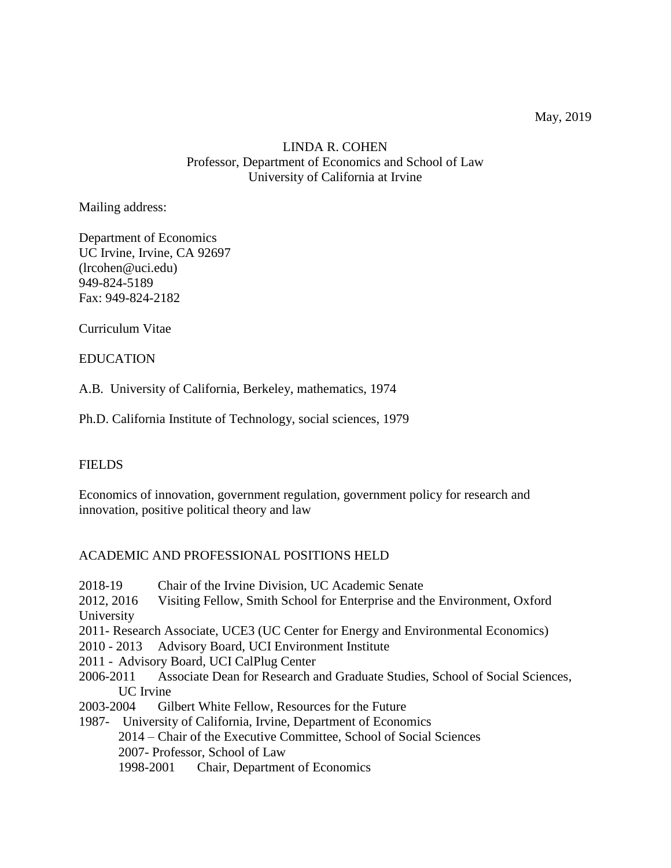# LINDA R. COHEN Professor, Department of Economics and School of Law University of California at Irvine

Mailing address:

Department of Economics UC Irvine, Irvine, CA 92697 (lrcohen@uci.edu) 949-824-5189 Fax: 949-824-2182

Curriculum Vitae

## EDUCATION

A.B. University of California, Berkeley, mathematics, 1974

Ph.D. California Institute of Technology, social sciences, 1979

### **FIELDS**

Economics of innovation, government regulation, government policy for research and innovation, positive political theory and law

## ACADEMIC AND PROFESSIONAL POSITIONS HELD

- 2018-19 Chair of the Irvine Division, UC Academic Senate
- 2012, 2016 Visiting Fellow, Smith School for Enterprise and the Environment, Oxford University
- 2011- Research Associate, UCE3 (UC Center for Energy and Environmental Economics)
- 2010 2013 Advisory Board, UCI Environment Institute
- 2011 Advisory Board, UCI CalPlug Center
- 2006-2011 Associate Dean for Research and Graduate Studies, School of Social Sciences, UC Irvine
- 2003-2004 Gilbert White Fellow, Resources for the Future
- 1987- University of California, Irvine, Department of Economics 2014 – Chair of the Executive Committee, School of Social Sciences 2007- Professor, School of Law 1998-2001 Chair, Department of Economics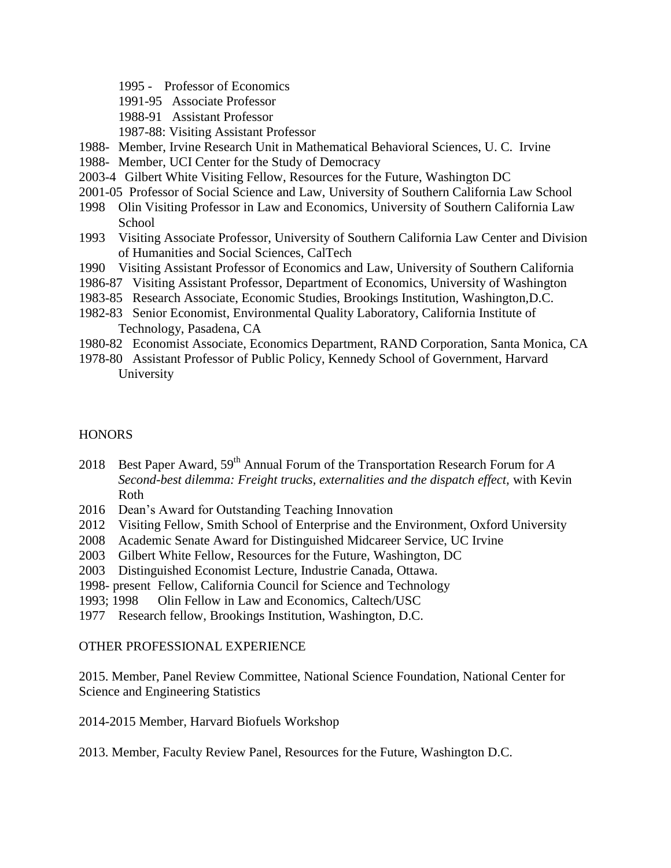- 1995 Professor of Economics
- 1991-95 Associate Professor
- 1988-91 Assistant Professor
- 1987-88: Visiting Assistant Professor
- 1988- Member, Irvine Research Unit in Mathematical Behavioral Sciences, U. C. Irvine
- 1988- Member, UCI Center for the Study of Democracy
- 2003-4 Gilbert White Visiting Fellow, Resources for the Future, Washington DC
- 2001-05 Professor of Social Science and Law, University of Southern California Law School
- 1998 Olin Visiting Professor in Law and Economics, University of Southern California Law School
- 1993 Visiting Associate Professor, University of Southern California Law Center and Division of Humanities and Social Sciences, CalTech
- 1990 Visiting Assistant Professor of Economics and Law, University of Southern California
- 1986-87 Visiting Assistant Professor, Department of Economics, University of Washington
- 1983-85 Research Associate, Economic Studies, Brookings Institution, Washington,D.C.
- 1982-83 Senior Economist, Environmental Quality Laboratory, California Institute of Technology, Pasadena, CA
- 1980-82 Economist Associate, Economics Department, RAND Corporation, Santa Monica, CA
- 1978-80 Assistant Professor of Public Policy, Kennedy School of Government, Harvard University

## **HONORS**

- 2018 Best Paper Award, 59<sup>th</sup> Annual Forum of the Transportation Research Forum for *A Second-best dilemma: Freight trucks, externalities and the dispatch effect,* with Kevin Roth
- 2016 Dean's Award for Outstanding Teaching Innovation
- 2012 Visiting Fellow, Smith School of Enterprise and the Environment, Oxford University
- 2008 Academic Senate Award for Distinguished Midcareer Service, UC Irvine
- 2003 Gilbert White Fellow, Resources for the Future, Washington, DC
- 2003 Distinguished Economist Lecture, Industrie Canada, Ottawa.
- 1998- present Fellow, California Council for Science and Technology
- 1993; 1998 Olin Fellow in Law and Economics, Caltech/USC
- 1977 Research fellow, Brookings Institution, Washington, D.C.

### OTHER PROFESSIONAL EXPERIENCE

2015. Member, Panel Review Committee, National Science Foundation, National Center for Science and Engineering Statistics

2014-2015 Member, Harvard Biofuels Workshop

2013. Member, Faculty Review Panel, Resources for the Future, Washington D.C.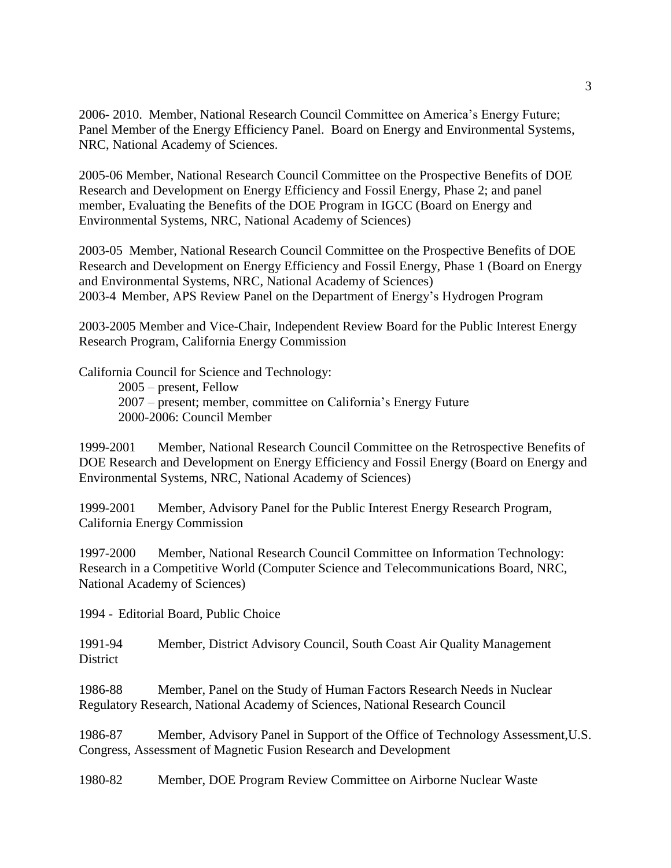2006- 2010. Member, National Research Council Committee on America's Energy Future; Panel Member of the Energy Efficiency Panel. Board on Energy and Environmental Systems, NRC, National Academy of Sciences.

2005-06 Member, National Research Council Committee on the Prospective Benefits of DOE Research and Development on Energy Efficiency and Fossil Energy, Phase 2; and panel member, Evaluating the Benefits of the DOE Program in IGCC (Board on Energy and Environmental Systems, NRC, National Academy of Sciences)

2003-05 Member, National Research Council Committee on the Prospective Benefits of DOE Research and Development on Energy Efficiency and Fossil Energy, Phase 1 (Board on Energy and Environmental Systems, NRC, National Academy of Sciences) 2003-4 Member, APS Review Panel on the Department of Energy's Hydrogen Program

2003-2005 Member and Vice-Chair, Independent Review Board for the Public Interest Energy Research Program, California Energy Commission

California Council for Science and Technology:

2005 – present, Fellow 2007 – present; member, committee on California's Energy Future 2000-2006: Council Member

1999-2001 Member, National Research Council Committee on the Retrospective Benefits of DOE Research and Development on Energy Efficiency and Fossil Energy (Board on Energy and Environmental Systems, NRC, National Academy of Sciences)

1999-2001 Member, Advisory Panel for the Public Interest Energy Research Program, California Energy Commission

1997-2000 Member, National Research Council Committee on Information Technology: Research in a Competitive World (Computer Science and Telecommunications Board, NRC, National Academy of Sciences)

1994 - Editorial Board, Public Choice

1991-94 Member, District Advisory Council, South Coast Air Quality Management **District** 

1986-88 Member, Panel on the Study of Human Factors Research Needs in Nuclear Regulatory Research, National Academy of Sciences, National Research Council

1986-87 Member, Advisory Panel in Support of the Office of Technology Assessment,U.S. Congress, Assessment of Magnetic Fusion Research and Development

1980-82 Member, DOE Program Review Committee on Airborne Nuclear Waste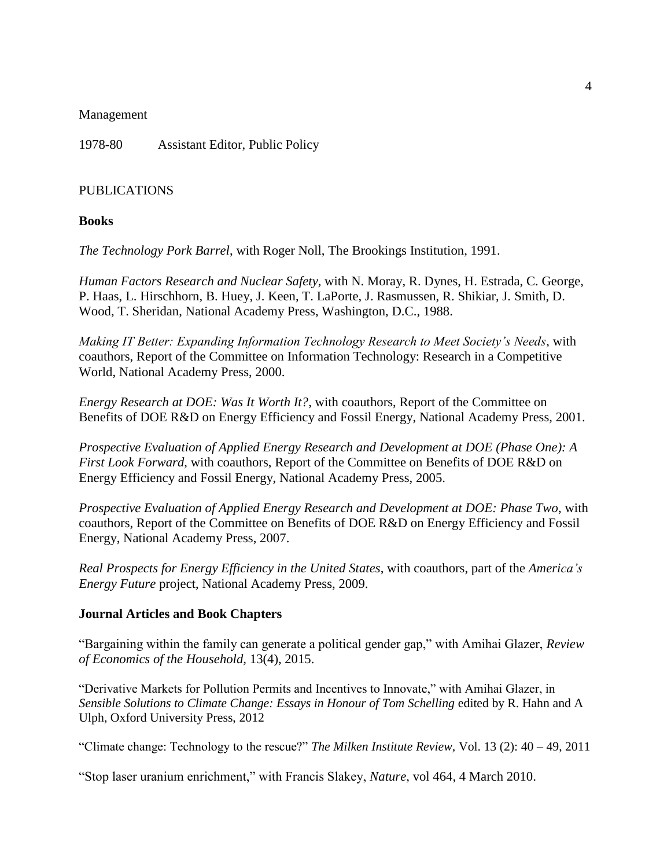#### Management

1978-80 Assistant Editor, Public Policy

#### PUBLICATIONS

#### **Books**

*The Technology Pork Barrel*, with Roger Noll, The Brookings Institution, 1991.

*Human Factors Research and Nuclear Safety*, with N. Moray, R. Dynes, H. Estrada, C. George, P. Haas, L. Hirschhorn, B. Huey, J. Keen, T. LaPorte, J. Rasmussen, R. Shikiar, J. Smith, D. Wood, T. Sheridan, National Academy Press, Washington, D.C., 1988.

*Making IT Better: Expanding Information Technology Research to Meet Society's Needs*, with coauthors, Report of the Committee on Information Technology: Research in a Competitive World, National Academy Press, 2000.

*Energy Research at DOE: Was It Worth It?*, with coauthors, Report of the Committee on Benefits of DOE R&D on Energy Efficiency and Fossil Energy, National Academy Press, 2001.

*Prospective Evaluation of Applied Energy Research and Development at DOE (Phase One): A First Look Forward*, with coauthors, Report of the Committee on Benefits of DOE R&D on Energy Efficiency and Fossil Energy, National Academy Press, 2005.

*Prospective Evaluation of Applied Energy Research and Development at DOE: Phase Two*, with coauthors, Report of the Committee on Benefits of DOE R&D on Energy Efficiency and Fossil Energy, National Academy Press, 2007.

*Real Prospects for Energy Efficiency in the United States*, with coauthors, part of the *America's Energy Future* project, National Academy Press, 2009.

#### **Journal Articles and Book Chapters**

"Bargaining within the family can generate a political gender gap," with Amihai Glazer, *Review of Economics of the Household,* 13(4), 2015.

"Derivative Markets for Pollution Permits and Incentives to Innovate," with Amihai Glazer, in *Sensible Solutions to Climate Change: Essays in Honour of Tom Schelling edited by R. Hahn and A* Ulph, Oxford University Press, 2012

"Climate change: Technology to the rescue?" *The Milken Institute Review,* Vol. 13 (2): 40 – 49, 2011

"Stop laser uranium enrichment," with Francis Slakey, *Nature*, vol 464, 4 March 2010.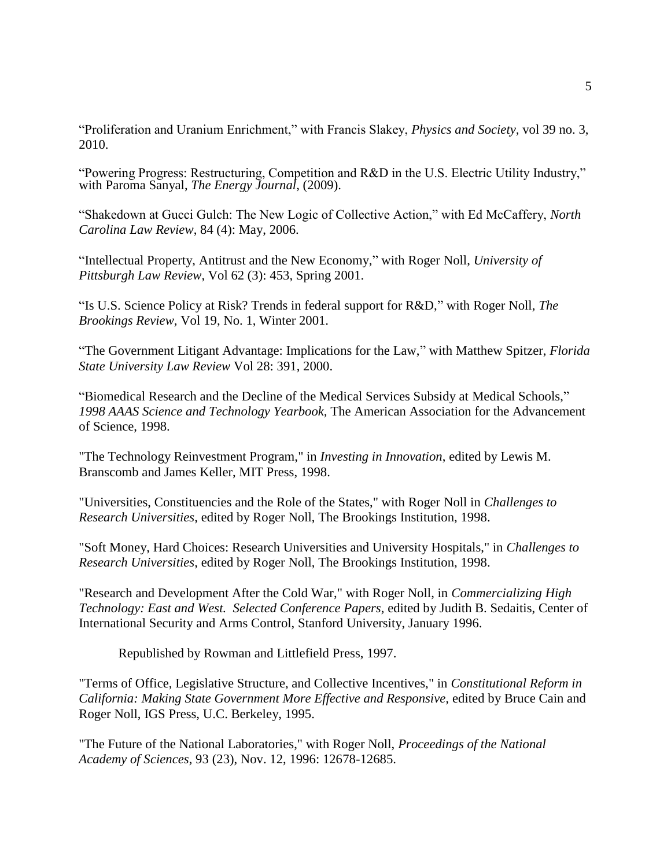"Proliferation and Uranium Enrichment," with Francis Slakey, *Physics and Society,* vol 39 no. 3, 2010.

"Powering Progress: Restructuring, Competition and R&D in the U.S. Electric Utility Industry," with Paroma Sanyal, *The Energy Journal*, (2009).

"Shakedown at Gucci Gulch: The New Logic of Collective Action," with Ed McCaffery, *North Carolina Law Review*, 84 (4): May, 2006.

"Intellectual Property, Antitrust and the New Economy," with Roger Noll, *University of Pittsburgh Law Review*, Vol 62 (3): 453, Spring 2001.

"Is U.S. Science Policy at Risk? Trends in federal support for R&D," with Roger Noll, *The Brookings Review,* Vol 19, No. 1, Winter 2001.

"The Government Litigant Advantage: Implications for the Law," with Matthew Spitzer, *Florida State University Law Review* Vol 28: 391, 2000.

"Biomedical Research and the Decline of the Medical Services Subsidy at Medical Schools," *1998 AAAS Science and Technology Yearbook,* The American Association for the Advancement of Science, 1998.

"The Technology Reinvestment Program," in *Investing in Innovation*, edited by Lewis M. Branscomb and James Keller, MIT Press, 1998.

"Universities, Constituencies and the Role of the States," with Roger Noll in *Challenges to Research Universities*, edited by Roger Noll, The Brookings Institution, 1998.

"Soft Money, Hard Choices: Research Universities and University Hospitals," in *Challenges to Research Universities*, edited by Roger Noll, The Brookings Institution, 1998.

"Research and Development After the Cold War," with Roger Noll, in *Commercializing High Technology: East and West. Selected Conference Papers*, edited by Judith B. Sedaitis, Center of International Security and Arms Control, Stanford University, January 1996.

Republished by Rowman and Littlefield Press, 1997.

"Terms of Office, Legislative Structure, and Collective Incentives," in *Constitutional Reform in California: Making State Government More Effective and Responsive,* edited by Bruce Cain and Roger Noll, IGS Press, U.C. Berkeley, 1995.

"The Future of the National Laboratories," with Roger Noll, *Proceedings of the National Academy of Sciences*, 93 (23), Nov. 12, 1996: 12678-12685.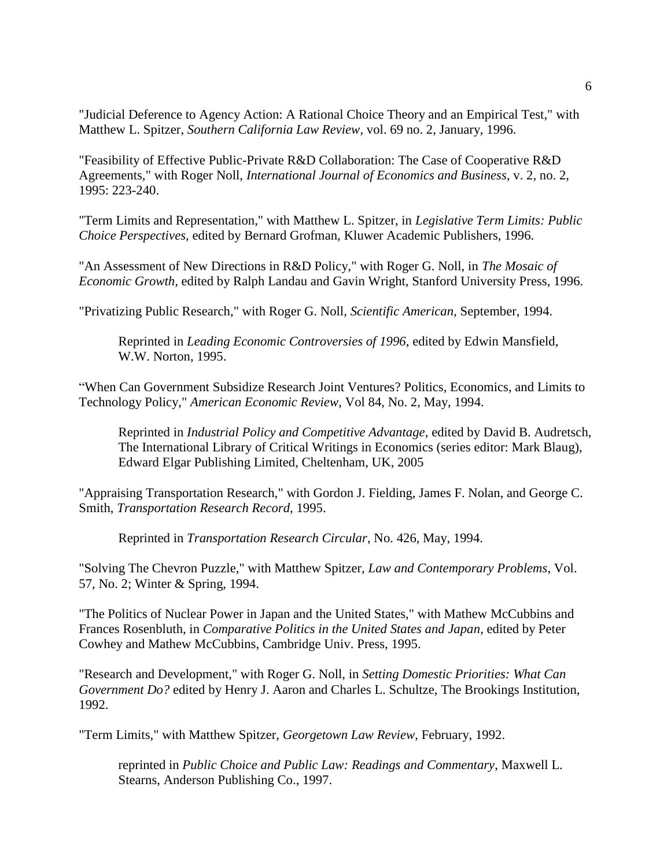"Judicial Deference to Agency Action: A Rational Choice Theory and an Empirical Test," with Matthew L. Spitzer, *Southern California Law Review*, vol. 69 no. 2, January, 1996.

"Feasibility of Effective Public-Private R&D Collaboration: The Case of Cooperative R&D Agreements," with Roger Noll, *International Journal of Economics and Business*, v. 2, no. 2, 1995: 223-240.

"Term Limits and Representation," with Matthew L. Spitzer, in *Legislative Term Limits: Public Choice Perspectives*, edited by Bernard Grofman, Kluwer Academic Publishers, 1996.

"An Assessment of New Directions in R&D Policy," with Roger G. Noll, in *The Mosaic of Economic Growth,* edited by Ralph Landau and Gavin Wright, Stanford University Press, 1996.

"Privatizing Public Research," with Roger G. Noll, *Scientific American,* September, 1994.

Reprinted in *Leading Economic Controversies of 1996*, edited by Edwin Mansfield, W.W. Norton, 1995.

"When Can Government Subsidize Research Joint Ventures? Politics, Economics, and Limits to Technology Policy," *American Economic Review*, Vol 84, No. 2, May, 1994.

Reprinted in *Industrial Policy and Competitive Advantage*, edited by David B. Audretsch, The International Library of Critical Writings in Economics (series editor: Mark Blaug), Edward Elgar Publishing Limited, Cheltenham, UK, 2005

"Appraising Transportation Research," with Gordon J. Fielding, James F. Nolan, and George C. Smith, *Transportation Research Record*, 1995.

Reprinted in *Transportation Research Circular*, No. 426, May, 1994.

"Solving The Chevron Puzzle," with Matthew Spitzer, *Law and Contemporary Problems*, Vol. 57, No. 2; Winter & Spring, 1994.

"The Politics of Nuclear Power in Japan and the United States," with Mathew McCubbins and Frances Rosenbluth, in *Comparative Politics in the United States and Japan*, edited by Peter Cowhey and Mathew McCubbins, Cambridge Univ. Press, 1995.

"Research and Development," with Roger G. Noll, in *Setting Domestic Priorities: What Can Government Do?* edited by Henry J. Aaron and Charles L. Schultze, The Brookings Institution, 1992.

"Term Limits," with Matthew Spitzer, *Georgetown Law Review*, February, 1992.

reprinted in *Public Choice and Public Law: Readings and Commentary*, Maxwell L. Stearns, Anderson Publishing Co., 1997.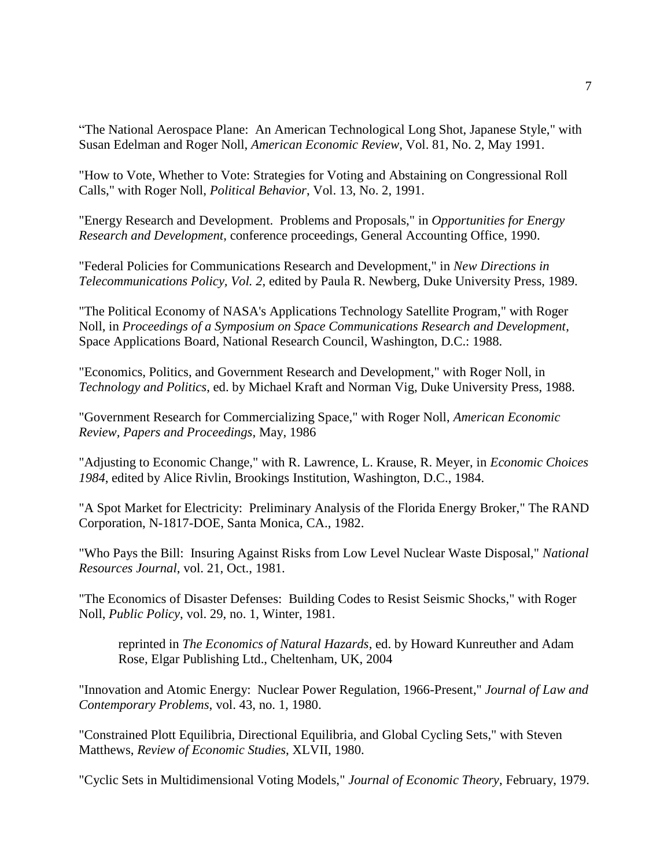"The National Aerospace Plane: An American Technological Long Shot, Japanese Style," with Susan Edelman and Roger Noll, *American Economic Review*, Vol. 81, No. 2, May 1991.

"How to Vote, Whether to Vote: Strategies for Voting and Abstaining on Congressional Roll Calls," with Roger Noll, *Political Behavior*, Vol. 13, No. 2, 1991.

"Energy Research and Development. Problems and Proposals," in *Opportunities for Energy Research and Development*, conference proceedings, General Accounting Office, 1990.

"Federal Policies for Communications Research and Development," in *New Directions in Telecommunications Policy, Vol. 2*, edited by Paula R. Newberg, Duke University Press, 1989.

"The Political Economy of NASA's Applications Technology Satellite Program," with Roger Noll, in *Proceedings of a Symposium on Space Communications Research and Development*, Space Applications Board, National Research Council, Washington, D.C.: 1988.

"Economics, Politics, and Government Research and Development," with Roger Noll, in *Technology and Politics*, ed. by Michael Kraft and Norman Vig, Duke University Press, 1988.

"Government Research for Commercializing Space," with Roger Noll, *American Economic Review, Papers and Proceedings*, May, 1986

"Adjusting to Economic Change," with R. Lawrence, L. Krause, R. Meyer, in *Economic Choices 1984*, edited by Alice Rivlin, Brookings Institution, Washington, D.C., 1984.

"A Spot Market for Electricity: Preliminary Analysis of the Florida Energy Broker," The RAND Corporation, N-1817-DOE, Santa Monica, CA., 1982.

"Who Pays the Bill: Insuring Against Risks from Low Level Nuclear Waste Disposal," *National Resources Journal*, vol. 21, Oct., 1981.

"The Economics of Disaster Defenses: Building Codes to Resist Seismic Shocks," with Roger Noll, *Public Policy*, vol. 29, no. 1, Winter, 1981.

reprinted in *The Economics of Natural Hazards*, ed. by Howard Kunreuther and Adam Rose, Elgar Publishing Ltd., Cheltenham, UK, 2004

"Innovation and Atomic Energy: Nuclear Power Regulation, 1966-Present," *Journal of Law and Contemporary Problems*, vol. 43, no. 1, 1980.

"Constrained Plott Equilibria, Directional Equilibria, and Global Cycling Sets," with Steven Matthews, *Review of Economic Studies*, XLVII, 1980.

"Cyclic Sets in Multidimensional Voting Models," *Journal of Economic Theory*, February, 1979.